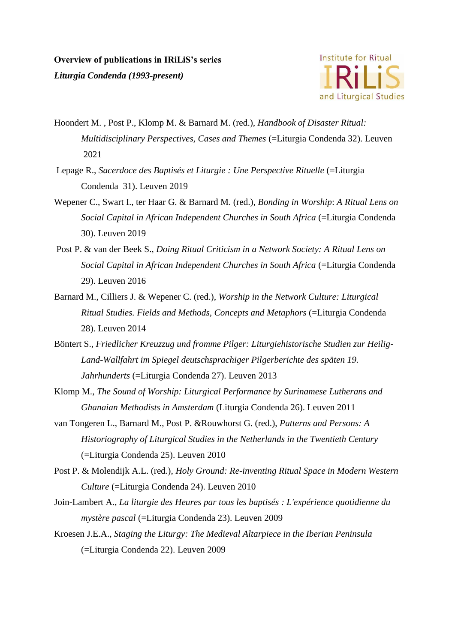

- Hoondert M. , Post P., Klomp M. & Barnard M. (red.), *Handbook of Disaster Ritual: Multidisciplinary Perspectives, Cases and Themes* (=Liturgia Condenda 32). Leuven 2021
- Lepage R., *Sacerdoce des Baptisés et Liturgie : Une Perspective Rituelle* (=Liturgia Condenda 31). Leuven 2019
- Wepener C., Swart I., ter Haar G. & Barnard M. (red.), *Bonding in Worship*: *A Ritual Lens on Social Capital in African Independent Churches in South Africa* (=Liturgia Condenda 30). Leuven 2019
- Post P. & van der Beek S., *Doing Ritual Criticism in a Network Society: A Ritual Lens on Social Capital in African Independent Churches in South Africa* (=Liturgia Condenda 29). Leuven 2016
- Barnard M., Cilliers J. & Wepener C. (red.), *Worship in the Network Culture: Liturgical Ritual Studies. Fields and Methods, Concepts and Metaphors* (=Liturgia Condenda 28). Leuven 2014
- Böntert S., *Friedlicher Kreuzzug und fromme Pilger: Liturgiehistorische Studien zur Heilig-Land-Wallfahrt im Spiegel deutschsprachiger Pilgerberichte des späten 19. Jahrhunderts* (=Liturgia Condenda 27). Leuven 2013
- Klomp M., *The Sound of Worship: Liturgical Performance by Surinamese Lutherans and Ghanaian Methodists in Amsterdam* (Liturgia Condenda 26). Leuven 2011
- van Tongeren L., Barnard M., Post P. &Rouwhorst G. (red.), *Patterns and Persons: A Historiography of Liturgical Studies in the Netherlands in the Twentieth Century* (=Liturgia Condenda 25). Leuven 2010
- Post P. & Molendijk A.L. (red.), *Holy Ground: Re-inventing Ritual Space in Modern Western Culture* (=Liturgia Condenda 24). Leuven 2010
- Join-Lambert A., *La liturgie des Heures par tous les baptisés : L'expérience quotidienne du mystère pascal* (=Liturgia Condenda 23). Leuven 2009
- Kroesen J.E.A., *Staging the Liturgy: The Medieval Altarpiece in the Iberian Peninsula* (=Liturgia Condenda 22). Leuven 2009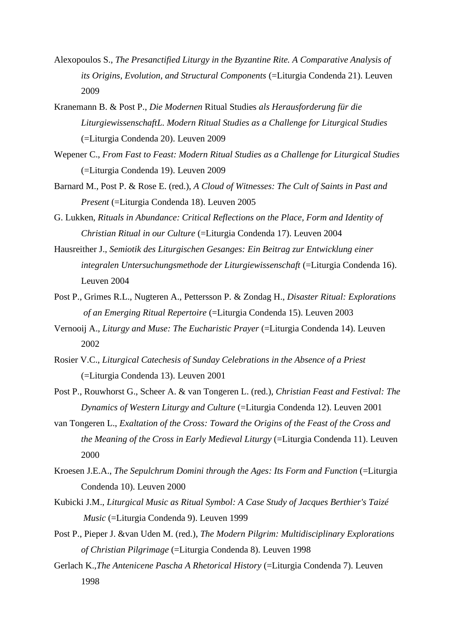- Alexopoulos S., *The Presanctified Liturgy in the Byzantine Rite. A Comparative Analysis of its Origins, Evolution, and Structural Components* (=Liturgia Condenda 21). Leuven 2009
- Kranemann B. & Post P., *Die Modernen* Ritual Studies *als Herausforderung für die LiturgiewissenschaftL. Modern Ritual Studies as a Challenge for Liturgical Studies* (=Liturgia Condenda 20). Leuven 2009
- Wepener C., *From Fast to Feast: Modern Ritual Studies as a Challenge for Liturgical Studies* (=Liturgia Condenda 19). Leuven 2009
- Barnard M., Post P. & Rose E. (red.), *A Cloud of Witnesses: The Cult of Saints in Past and Present* (=Liturgia Condenda 18). Leuven 2005
- G. Lukken, *Rituals in Abundance: Critical Reflections on the Place, Form and Identity of Christian Ritual in our Culture* (=Liturgia Condenda 17). Leuven 2004
- Hausreither J., *Semiotik des Liturgischen Gesanges: Ein Beitrag zur Entwicklung einer integralen Untersuchungsmethode der Liturgiewissenschaft* (=Liturgia Condenda 16). Leuven 2004
- Post P., Grimes R.L., Nugteren A., Pettersson P. & Zondag H., *Disaster Ritual: Explorations of an Emerging Ritual Repertoire* (=Liturgia Condenda 15). Leuven 2003
- Vernooij A., *Liturgy and Muse: The Eucharistic Prayer* (=Liturgia Condenda 14). Leuven 2002
- Rosier V.C., *Liturgical Catechesis of Sunday Celebrations in the Absence of a Priest* (=Liturgia Condenda 13). Leuven 2001
- Post P., Rouwhorst G., Scheer A. & van Tongeren L. (red.), *Christian Feast and Festival: The Dynamics of Western Liturgy and Culture* (=Liturgia Condenda 12). Leuven 2001
- van Tongeren L., *Exaltation of the Cross: Toward the Origins of the Feast of the Cross and the Meaning of the Cross in Early Medieval Liturgy* (=Liturgia Condenda 11). Leuven 2000
- Kroesen J.E.A., *The Sepulchrum Domini through the Ages: Its Form and Function* (=Liturgia Condenda 10). Leuven 2000
- Kubicki J.M., *Liturgical Music as Ritual Symbol: A Case Study of Jacques Berthier's Taizé Music* (=Liturgia Condenda 9). Leuven 1999
- Post P., Pieper J. &van Uden M. (red.), *The Modern Pilgrim: Multidisciplinary Explorations of Christian Pilgrimage* (=Liturgia Condenda 8). Leuven 1998
- Gerlach K.,*The Antenicene Pascha A Rhetorical History* (=Liturgia Condenda 7). Leuven 1998